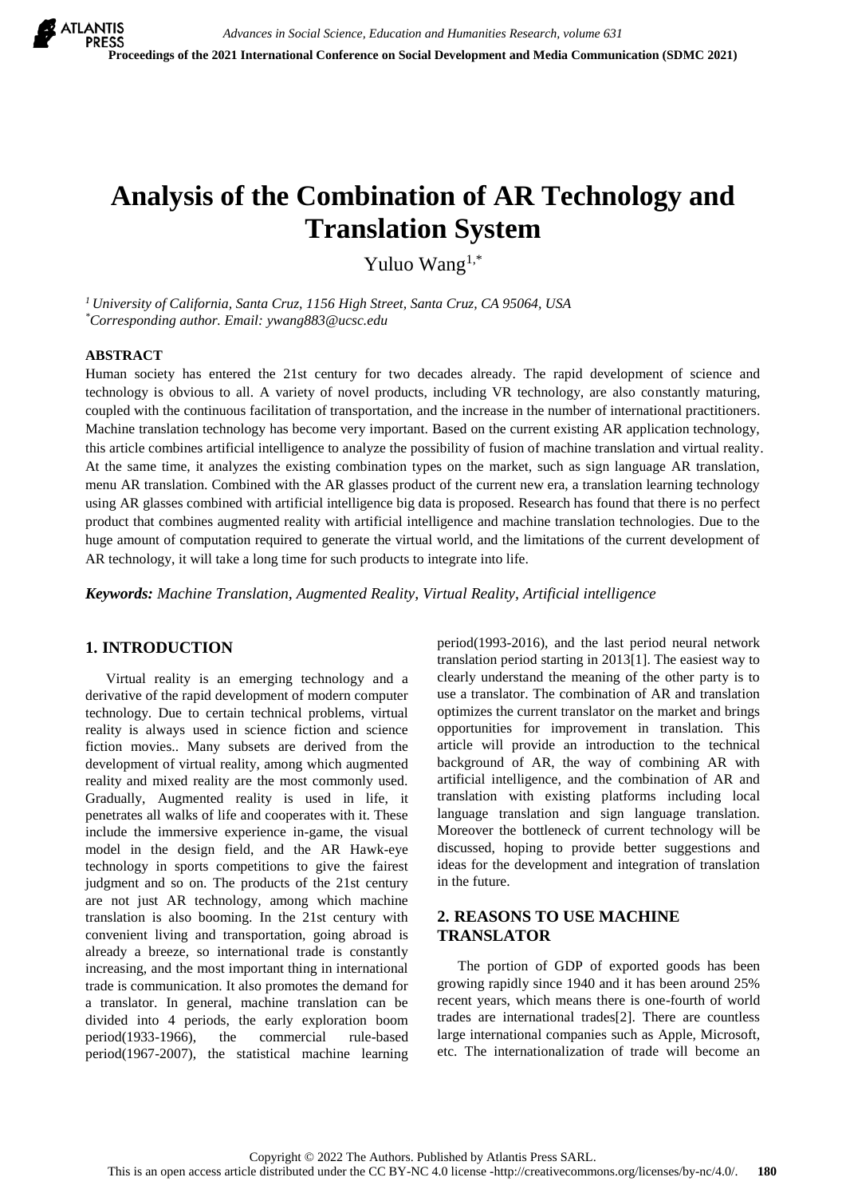# **Analysis of the Combination of AR Technology and Translation System**

Yuluo Wang1,\*

*<sup>1</sup>University of California, Santa Cruz, 1156 High Street, Santa Cruz, CA 95064, USA \*Corresponding author. Email: ywang883@ucsc.edu*

#### **ABSTRACT**

Human society has entered the 21st century for two decades already. The rapid development of science and technology is obvious to all. A variety of novel products, including VR technology, are also constantly maturing, coupled with the continuous facilitation of transportation, and the increase in the number of international practitioners. Machine translation technology has become very important. Based on the current existing AR application technology, this article combines artificial intelligence to analyze the possibility of fusion of machine translation and virtual reality. At the same time, it analyzes the existing combination types on the market, such as sign language AR translation, menu AR translation. Combined with the AR glasses product of the current new era, a translation learning technology using AR glasses combined with artificial intelligence big data is proposed. Research has found that there is no perfect product that combines augmented reality with artificial intelligence and machine translation technologies. Due to the huge amount of computation required to generate the virtual world, and the limitations of the current development of AR technology, it will take a long time for such products to integrate into life.

*Keywords: Machine Translation, Augmented Reality, Virtual Reality, Artificial intelligence*

## **1. INTRODUCTION**

Virtual reality is an emerging technology and a derivative of the rapid development of modern computer technology. Due to certain technical problems, virtual reality is always used in science fiction and science fiction movies.. Many subsets are derived from the development of virtual reality, among which augmented reality and mixed reality are the most commonly used. Gradually, Augmented reality is used in life, it penetrates all walks of life and cooperates with it. These include the immersive experience in-game, the visual model in the design field, and the AR Hawk-eye technology in sports competitions to give the fairest judgment and so on. The products of the 21st century are not just AR technology, among which machine translation is also booming. In the 21st century with convenient living and transportation, going abroad is already a breeze, so international trade is constantly increasing, and the most important thing in international trade is communication. It also promotes the demand for a translator. In general, machine translation can be divided into 4 periods, the early exploration boom period(1933-1966), the commercial rule-based period(1967-2007), the statistical machine learning

period(1993-2016), and the last period neural network translation period starting in 2013[1]. The easiest way to clearly understand the meaning of the other party is to use a translator. The combination of AR and translation optimizes the current translator on the market and brings opportunities for improvement in translation. This article will provide an introduction to the technical background of AR, the way of combining AR with artificial intelligence, and the combination of AR and translation with existing platforms including local language translation and sign language translation. Moreover the bottleneck of current technology will be discussed, hoping to provide better suggestions and ideas for the development and integration of translation in the future.

# **2. REASONS TO USE MACHINE TRANSLATOR**

The portion of GDP of exported goods has been growing rapidly since 1940 and it has been around 25% recent years, which means there is one-fourth of world trades are international trades[2]. There are countless large international companies such as Apple, Microsoft, etc. The internationalization of trade will become an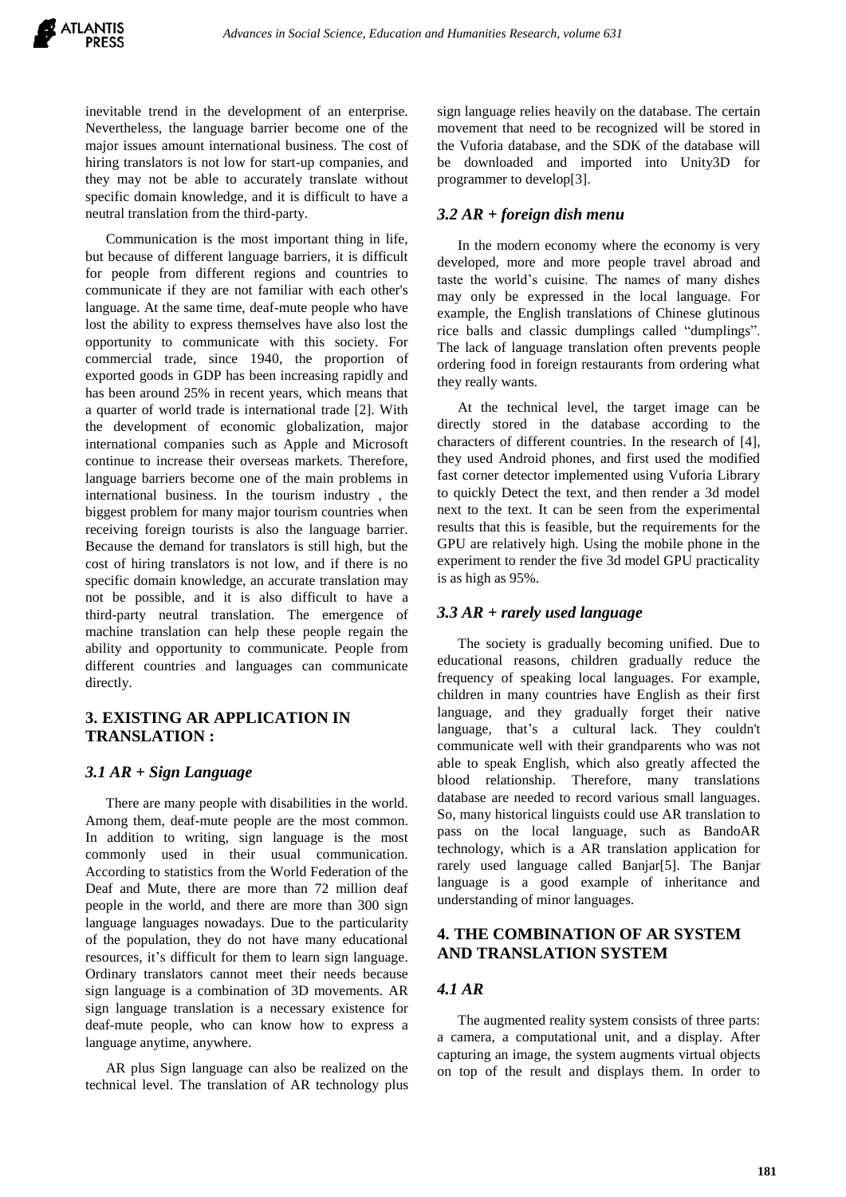inevitable trend in the development of an enterprise. Nevertheless, the language barrier become one of the major issues amount international business. The cost of hiring translators is not low for start-up companies, and they may not be able to accurately translate without specific domain knowledge, and it is difficult to have a neutral translation from the third-party.

Communication is the most important thing in life, but because of different language barriers, it is difficult for people from different regions and countries to communicate if they are not familiar with each other's language. At the same time, deaf-mute people who have lost the ability to express themselves have also lost the opportunity to communicate with this society. For commercial trade, since 1940, the proportion of exported goods in GDP has been increasing rapidly and has been around 25% in recent years, which means that a quarter of world trade is international trade [2]. With the development of economic globalization, major international companies such as Apple and Microsoft continue to increase their overseas markets. Therefore, language barriers become one of the main problems in international business. In the tourism industry , the biggest problem for many major tourism countries when receiving foreign tourists is also the language barrier. Because the demand for translators is still high, but the cost of hiring translators is not low, and if there is no specific domain knowledge, an accurate translation may not be possible, and it is also difficult to have a third-party neutral translation. The emergence of machine translation can help these people regain the ability and opportunity to communicate. People from different countries and languages can communicate directly.

#### **3. EXISTING AR APPLICATION IN TRANSLATION :**

#### *3.1 AR + Sign Language*

There are many people with disabilities in the world. Among them, deaf-mute people are the most common. In addition to writing, sign language is the most commonly used in their usual communication. According to statistics from the World Federation of the Deaf and Mute, there are more than 72 million deaf people in the world, and there are more than 300 sign language languages nowadays. Due to the particularity of the population, they do not have many educational resources, it's difficult for them to learn sign language. Ordinary translators cannot meet their needs because sign language is a combination of 3D movements. AR sign language translation is a necessary existence for deaf-mute people, who can know how to express a language anytime, anywhere.

AR plus Sign language can also be realized on the technical level. The translation of AR technology plus sign language relies heavily on the database. The certain movement that need to be recognized will be stored in the Vuforia database, and the SDK of the database will be downloaded and imported into Unity3D for programmer to develop[3].

#### *3.2 AR + foreign dish menu*

In the modern economy where the economy is very developed, more and more people travel abroad and taste the world's cuisine. The names of many dishes may only be expressed in the local language. For example, the English translations of Chinese glutinous rice balls and classic dumplings called "dumplings". The lack of language translation often prevents people ordering food in foreign restaurants from ordering what they really wants.

At the technical level, the target image can be directly stored in the database according to the characters of different countries. In the research of [4], they used Android phones, and first used the modified fast corner detector implemented using Vuforia Library to quickly Detect the text, and then render a 3d model next to the text. It can be seen from the experimental results that this is feasible, but the requirements for the GPU are relatively high. Using the mobile phone in the experiment to render the five 3d model GPU practicality is as high as 95%.

## *3.3 AR + rarely used language*

The society is gradually becoming unified. Due to educational reasons, children gradually reduce the frequency of speaking local languages. For example, children in many countries have English as their first language, and they gradually forget their native language, that's a cultural lack. They couldn't communicate well with their grandparents who was not able to speak English, which also greatly affected the blood relationship. Therefore, many translations database are needed to record various small languages. So, many historical linguists could use AR translation to pass on the local language, such as BandoAR technology, which is a AR translation application for rarely used language called Banjar[5]. The Banjar language is a good example of inheritance and understanding of minor languages.

# **4. THE COMBINATION OF AR SYSTEM AND TRANSLATION SYSTEM**

# *4.1 AR*

The augmented reality system consists of three parts: a camera, a computational unit, and a display. After capturing an image, the system augments virtual objects on top of the result and displays them. In order to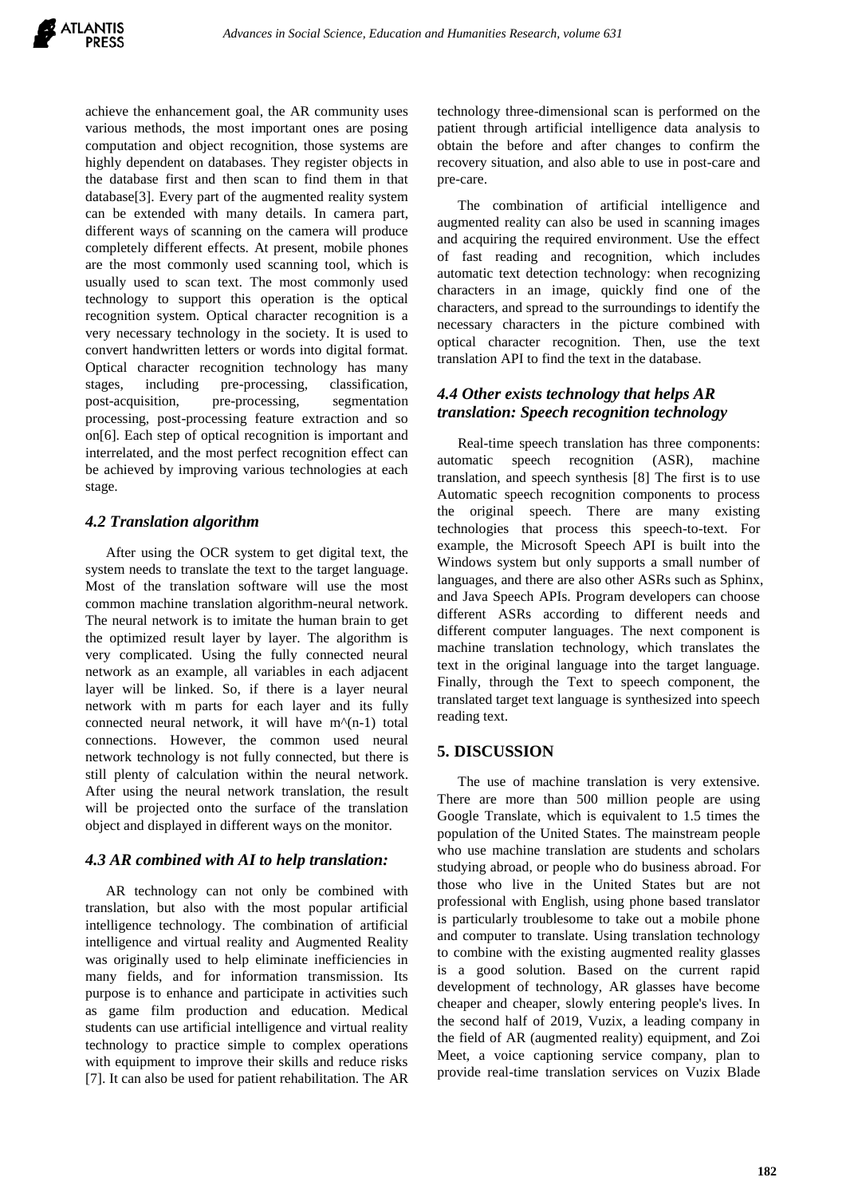achieve the enhancement goal, the AR community uses various methods, the most important ones are posing computation and object recognition, those systems are highly dependent on databases. They register objects in the database first and then scan to find them in that database[3]. Every part of the augmented reality system can be extended with many details. In camera part, different ways of scanning on the camera will produce completely different effects. At present, mobile phones are the most commonly used scanning tool, which is usually used to scan text. The most commonly used technology to support this operation is the optical recognition system. Optical character recognition is a very necessary technology in the society. It is used to convert handwritten letters or words into digital format. Optical character recognition technology has many stages, including pre-processing, classification, post-acquisition, pre-processing, segmentation processing, post-processing feature extraction and so on[6]. Each step of optical recognition is important and interrelated, and the most perfect recognition effect can be achieved by improving various technologies at each stage.

## *4.2 Translation algorithm*

After using the OCR system to get digital text, the system needs to translate the text to the target language. Most of the translation software will use the most common machine translation algorithm-neural network. The neural network is to imitate the human brain to get the optimized result layer by layer. The algorithm is very complicated. Using the fully connected neural network as an example, all variables in each adjacent layer will be linked. So, if there is a layer neural network with m parts for each layer and its fully connected neural network, it will have m^(n-1) total connections. However, the common used neural network technology is not fully connected, but there is still plenty of calculation within the neural network. After using the neural network translation, the result will be projected onto the surface of the translation object and displayed in different ways on the monitor.

#### *4.3 AR combined with AI to help translation:*

AR technology can not only be combined with translation, but also with the most popular artificial intelligence technology. The combination of artificial intelligence and virtual reality and Augmented Reality was originally used to help eliminate inefficiencies in many fields, and for information transmission. Its purpose is to enhance and participate in activities such as game film production and education. Medical students can use artificial intelligence and virtual reality technology to practice simple to complex operations with equipment to improve their skills and reduce risks [7]. It can also be used for patient rehabilitation. The AR technology three-dimensional scan is performed on the patient through artificial intelligence data analysis to obtain the before and after changes to confirm the recovery situation, and also able to use in post-care and pre-care.

The combination of artificial intelligence and augmented reality can also be used in scanning images and acquiring the required environment. Use the effect of fast reading and recognition, which includes automatic text detection technology: when recognizing characters in an image, quickly find one of the characters, and spread to the surroundings to identify the necessary characters in the picture combined with optical character recognition. Then, use the text translation API to find the text in the database.

# *4.4 Other exists technology that helps AR translation: Speech recognition technology*

Real-time speech translation has three components: automatic speech recognition (ASR), machine translation, and speech synthesis [8] The first is to use Automatic speech recognition components to process the original speech. There are many existing technologies that process this speech-to-text. For example, the Microsoft Speech API is built into the Windows system but only supports a small number of languages, and there are also other ASRs such as Sphinx, and Java Speech APIs. Program developers can choose different ASRs according to different needs and different computer languages. The next component is machine translation technology, which translates the text in the original language into the target language. Finally, through the Text to speech component, the translated target text language is synthesized into speech reading text.

## **5. DISCUSSION**

The use of machine translation is very extensive. There are more than 500 million people are using Google Translate, which is equivalent to 1.5 times the population of the United States. The mainstream people who use machine translation are students and scholars studying abroad, or people who do business abroad. For those who live in the United States but are not professional with English, using phone based translator is particularly troublesome to take out a mobile phone and computer to translate. Using translation technology to combine with the existing augmented reality glasses is a good solution. Based on the current rapid development of technology, AR glasses have become cheaper and cheaper, slowly entering people's lives. In the second half of 2019, Vuzix, a leading company in the field of AR (augmented reality) equipment, and Zoi Meet, a voice captioning service company, plan to provide real-time translation services on Vuzix Blade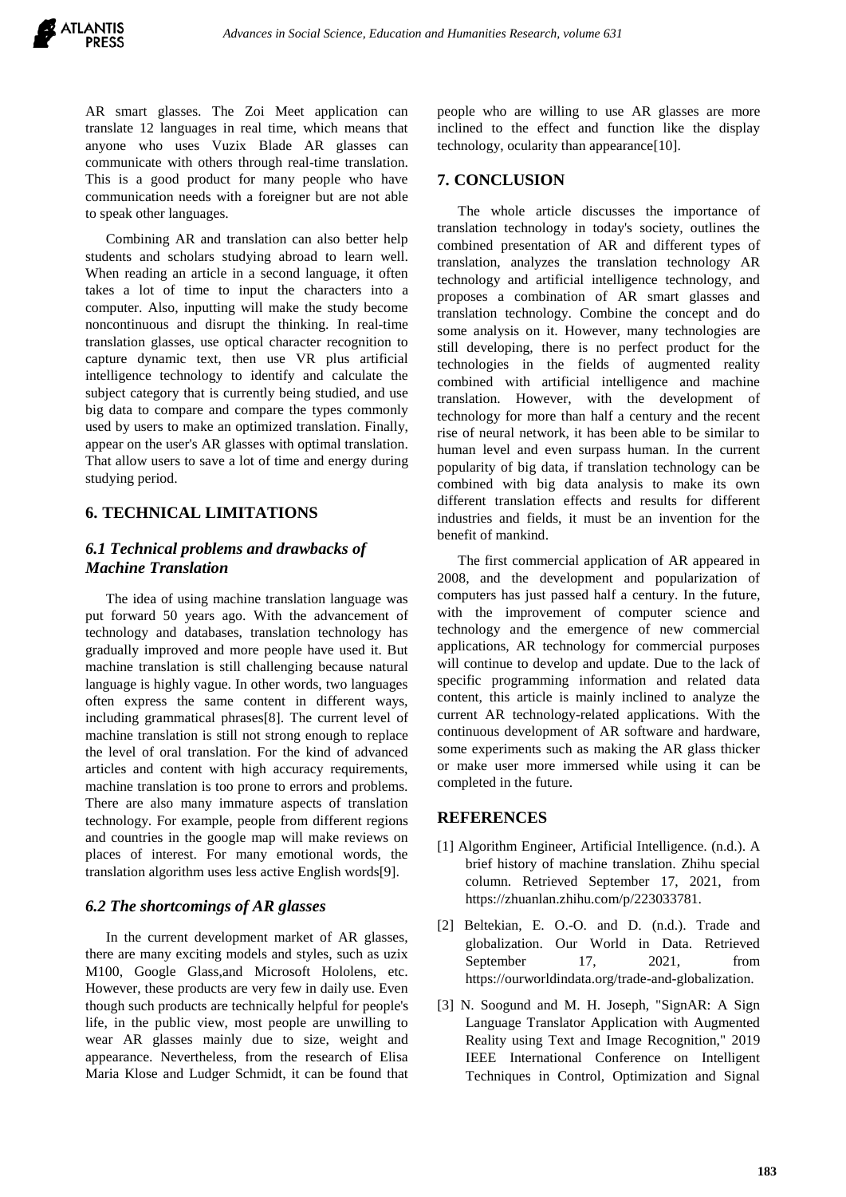AR smart glasses. The Zoi Meet application can translate 12 languages in real time, which means that anyone who uses Vuzix Blade AR glasses can communicate with others through real-time translation. This is a good product for many people who have communication needs with a foreigner but are not able to speak other languages.

Combining AR and translation can also better help students and scholars studying abroad to learn well. When reading an article in a second language, it often takes a lot of time to input the characters into a computer. Also, inputting will make the study become noncontinuous and disrupt the thinking. In real-time translation glasses, use optical character recognition to capture dynamic text, then use VR plus artificial intelligence technology to identify and calculate the subject category that is currently being studied, and use big data to compare and compare the types commonly used by users to make an optimized translation. Finally, appear on the user's AR glasses with optimal translation. That allow users to save a lot of time and energy during studying period.

# **6. TECHNICAL LIMITATIONS**

## *6.1 Technical problems and drawbacks of Machine Translation*

The idea of using machine translation language was put forward 50 years ago. With the advancement of technology and databases, translation technology has gradually improved and more people have used it. But machine translation is still challenging because natural language is highly vague. In other words, two languages often express the same content in different ways, including grammatical phrases[8]. The current level of machine translation is still not strong enough to replace the level of oral translation. For the kind of advanced articles and content with high accuracy requirements, machine translation is too prone to errors and problems. There are also many immature aspects of translation technology. For example, people from different regions and countries in the google map will make reviews on places of interest. For many emotional words, the translation algorithm uses less active English words[9].

## *6.2 The shortcomings of AR glasses*

In the current development market of AR glasses, there are many exciting models and styles, such as uzix M100, Google Glass,and Microsoft Hololens, etc. However, these products are very few in daily use. Even though such products are technically helpful for people's life, in the public view, most people are unwilling to wear AR glasses mainly due to size, weight and appearance. Nevertheless, from the research of Elisa Maria Klose and Ludger Schmidt, it can be found that people who are willing to use AR glasses are more inclined to the effect and function like the display technology, ocularity than appearance[10].

#### **7. CONCLUSION**

The whole article discusses the importance of translation technology in today's society, outlines the combined presentation of AR and different types of translation, analyzes the translation technology AR technology and artificial intelligence technology, and proposes a combination of AR smart glasses and translation technology. Combine the concept and do some analysis on it. However, many technologies are still developing, there is no perfect product for the technologies in the fields of augmented reality combined with artificial intelligence and machine translation. However, with the development of technology for more than half a century and the recent rise of neural network, it has been able to be similar to human level and even surpass human. In the current popularity of big data, if translation technology can be combined with big data analysis to make its own different translation effects and results for different industries and fields, it must be an invention for the benefit of mankind.

The first commercial application of AR appeared in 2008, and the development and popularization of computers has just passed half a century. In the future, with the improvement of computer science and technology and the emergence of new commercial applications, AR technology for commercial purposes will continue to develop and update. Due to the lack of specific programming information and related data content, this article is mainly inclined to analyze the current AR technology-related applications. With the continuous development of AR software and hardware, some experiments such as making the AR glass thicker or make user more immersed while using it can be completed in the future.

## **REFERENCES**

- [1] Algorithm Engineer, Artificial Intelligence. (n.d.). A brief history of machine translation. Zhihu special column. Retrieved September 17, 2021, from https://zhuanlan.zhihu.com/p/223033781.
- [2] Beltekian, E. O.-O. and D. (n.d.). Trade and globalization. Our World in Data. Retrieved September 17, 2021, from https://ourworldindata.org/trade-and-globalization.
- [3] N. Soogund and M. H. Joseph, "SignAR: A Sign Language Translator Application with Augmented Reality using Text and Image Recognition," 2019 IEEE International Conference on Intelligent Techniques in Control, Optimization and Signal